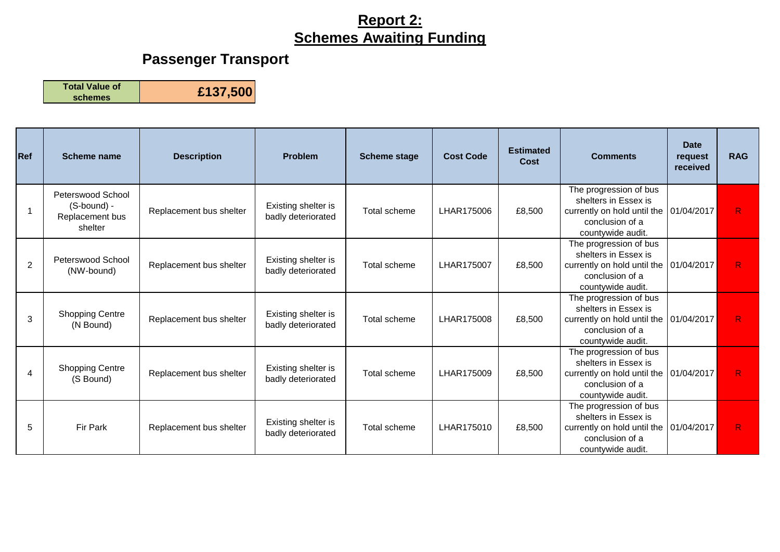# **Passenger Transport**

**Total Value of** 

**schemes £137,500**

| <b>Ref</b>     | Scheme name                                                    | <b>Description</b>      | <b>Problem</b>                            | <b>Scheme stage</b> | <b>Cost Code</b> | <b>Estimated</b><br>Cost | <b>Comments</b>                                                                                                       | <b>Date</b><br>request<br>received | <b>RAG</b> |
|----------------|----------------------------------------------------------------|-------------------------|-------------------------------------------|---------------------|------------------|--------------------------|-----------------------------------------------------------------------------------------------------------------------|------------------------------------|------------|
|                | Peterswood School<br>(S-bound) -<br>Replacement bus<br>shelter | Replacement bus shelter | Existing shelter is<br>badly deteriorated | Total scheme        | LHAR175006       | £8,500                   | The progression of bus<br>shelters in Essex is<br>currently on hold until the<br>conclusion of a<br>countywide audit. | 01/04/2017                         | R          |
| $\overline{2}$ | Peterswood School<br>(NW-bound)                                | Replacement bus shelter | Existing shelter is<br>badly deteriorated | Total scheme        | LHAR175007       | £8,500                   | The progression of bus<br>shelters in Essex is<br>currently on hold until the<br>conclusion of a<br>countywide audit. | 01/04/2017                         | R          |
| 3              | <b>Shopping Centre</b><br>(N Bound)                            | Replacement bus shelter | Existing shelter is<br>badly deteriorated | Total scheme        | LHAR175008       | £8,500                   | The progression of bus<br>shelters in Essex is<br>currently on hold until the<br>conclusion of a<br>countywide audit. | 01/04/2017                         | R          |
| 4              | <b>Shopping Centre</b><br>(S Bound)                            | Replacement bus shelter | Existing shelter is<br>badly deteriorated | Total scheme        | LHAR175009       | £8,500                   | The progression of bus<br>shelters in Essex is<br>currently on hold until the<br>conclusion of a<br>countywide audit. | 01/04/2017                         | R          |
| 5              | Fir Park                                                       | Replacement bus shelter | Existing shelter is<br>badly deteriorated | Total scheme        | LHAR175010       | £8,500                   | The progression of bus<br>shelters in Essex is<br>currently on hold until the<br>conclusion of a<br>countywide audit. | 01/04/2017                         | R          |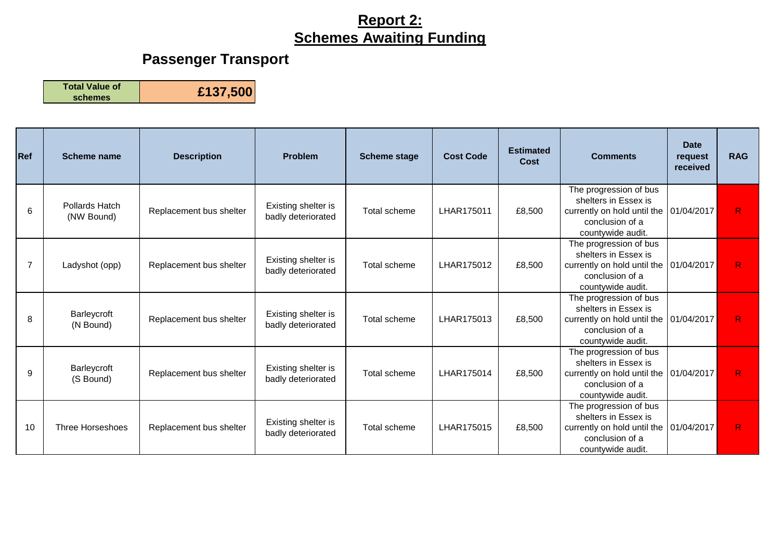# **Passenger Transport**

**Total Value of** 

**schemes £137,500**

| Ref            | Scheme name                  | <b>Description</b>      | <b>Problem</b>                            | <b>Scheme stage</b> | <b>Cost Code</b> | <b>Estimated</b><br>Cost | <b>Comments</b>                                                                                                                      | <b>Date</b><br>request<br>received | <b>RAG</b> |
|----------------|------------------------------|-------------------------|-------------------------------------------|---------------------|------------------|--------------------------|--------------------------------------------------------------------------------------------------------------------------------------|------------------------------------|------------|
| 6              | Pollards Hatch<br>(NW Bound) | Replacement bus shelter | Existing shelter is<br>badly deteriorated | Total scheme        | LHAR175011       | £8,500                   | The progression of bus<br>shelters in Essex is<br>currently on hold until the   01/04/2017  <br>conclusion of a<br>countywide audit. |                                    | R          |
| $\overline{7}$ | Ladyshot (opp)               | Replacement bus shelter | Existing shelter is<br>badly deteriorated | Total scheme        | LHAR175012       | £8,500                   | The progression of bus<br>shelters in Essex is<br>currently on hold until the<br>conclusion of a<br>countywide audit.                | 01/04/2017                         | R          |
| 8              | Barleycroft<br>(N Bound)     | Replacement bus shelter | Existing shelter is<br>badly deteriorated | Total scheme        | LHAR175013       | £8,500                   | The progression of bus<br>shelters in Essex is<br>currently on hold until the<br>conclusion of a<br>countywide audit.                | 01/04/2017                         | R          |
| 9              | Barleycroft<br>(S Bound)     | Replacement bus shelter | Existing shelter is<br>badly deteriorated | Total scheme        | LHAR175014       | £8,500                   | The progression of bus<br>shelters in Essex is<br>currently on hold until the<br>conclusion of a<br>countywide audit.                | 01/04/2017                         | R.         |
| 10             | <b>Three Horseshoes</b>      | Replacement bus shelter | Existing shelter is<br>badly deteriorated | Total scheme        | LHAR175015       | £8,500                   | The progression of bus<br>shelters in Essex is<br>currently on hold until the<br>conclusion of a<br>countywide audit.                | 01/04/2017                         | R          |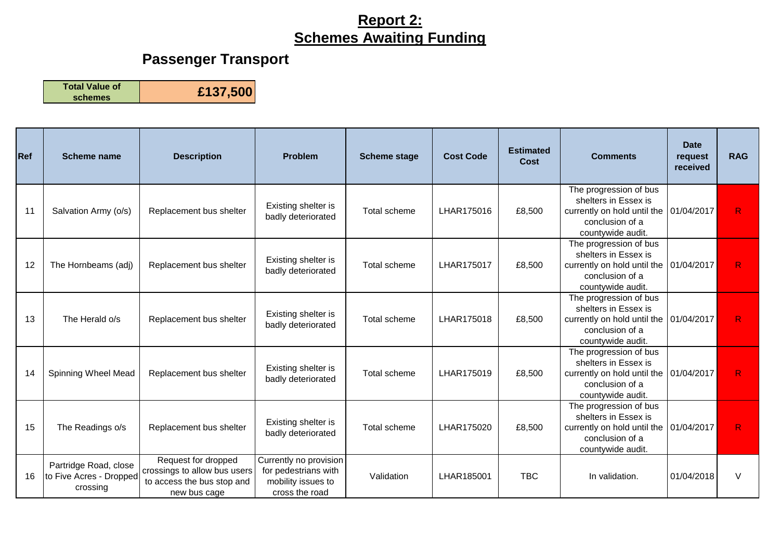# **Passenger Transport**

**Total Value of** 

**schemes £137,500**

| Ref | <b>Scheme name</b>                                           | <b>Description</b>                                                                                | <b>Problem</b>                                                                         | <b>Scheme stage</b> | <b>Cost Code</b> | <b>Estimated</b><br>Cost | <b>Comments</b>                                                                                                                  | <b>Date</b><br>request<br>received | <b>RAG</b> |
|-----|--------------------------------------------------------------|---------------------------------------------------------------------------------------------------|----------------------------------------------------------------------------------------|---------------------|------------------|--------------------------|----------------------------------------------------------------------------------------------------------------------------------|------------------------------------|------------|
| 11  | Salvation Army (o/s)                                         | Replacement bus shelter                                                                           | Existing shelter is<br>badly deteriorated                                              | Total scheme        | LHAR175016       | £8,500                   | The progression of bus<br>shelters in Essex is<br>currently on hold until the<br>conclusion of a<br>countywide audit.            | 01/04/2017                         | R.         |
| 12  | The Hornbeams (adj)                                          | Replacement bus shelter                                                                           | Existing shelter is<br>badly deteriorated                                              | Total scheme        | LHAR175017       | £8,500                   | The progression of bus<br>shelters in Essex is<br>currently on hold until the<br>conclusion of a<br>countywide audit.            | 01/04/2017                         | R          |
| 13  | The Herald o/s                                               | Replacement bus shelter                                                                           | Existing shelter is<br>badly deteriorated                                              | Total scheme        | LHAR175018       | £8,500                   | The progression of bus<br>shelters in Essex is<br>currently on hold until the<br>conclusion of a<br>countywide audit.            | 01/04/2017                         | R.         |
| 14  | Spinning Wheel Mead                                          | Replacement bus shelter                                                                           | Existing shelter is<br>badly deteriorated                                              | Total scheme        | LHAR175019       | £8,500                   | The progression of bus<br>shelters in Essex is<br>currently on hold until the 01/04/2017<br>conclusion of a<br>countywide audit. |                                    | R.         |
| 15  | The Readings o/s                                             | Replacement bus shelter                                                                           | Existing shelter is<br>badly deteriorated                                              | Total scheme        | LHAR175020       | £8,500                   | The progression of bus<br>shelters in Essex is<br>currently on hold until the<br>conclusion of a<br>countywide audit.            | 01/04/2017                         | R.         |
| 16  | Partridge Road, close<br>to Five Acres - Dropped<br>crossing | Request for dropped<br>crossings to allow bus users<br>to access the bus stop and<br>new bus cage | Currently no provision<br>for pedestrians with<br>mobility issues to<br>cross the road | Validation          | LHAR185001       | <b>TBC</b>               | In validation.                                                                                                                   | 01/04/2018                         | $\vee$     |